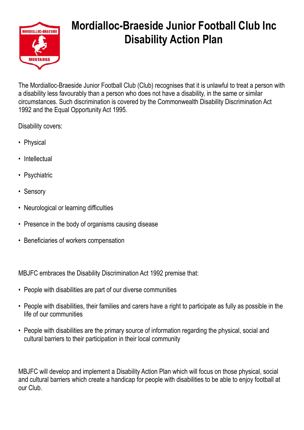

## **Mordialloc-Braeside Junior Football Club Inc Disability Action Plan**

The Mordialloc-Braeside Junior Football Club (Club) recognises that it is unlawful to treat a person with a disability less favourably than a person who does not have a disability, in the same or similar circumstances. Such discrimination is covered by the Commonwealth Disability Discrimination Act 1992 and the Equal Opportunity Act 1995.

Disability covers:

- Physical
- Intellectual
- Psychiatric
- Sensory
- Neurological or learning difficulties
- Presence in the body of organisms causing disease
- Beneficiaries of workers compensation

MBJFC embraces the Disability Discrimination Act 1992 premise that:

- People with disabilities are part of our diverse communities
- People with disabilities, their families and carers have a right to participate as fully as possible in the life of our communities
- People with disabilities are the primary source of information regarding the physical, social and cultural barriers to their participation in their local community

MBJFC will develop and implement a Disability Action Plan which will focus on those physical, social and cultural barriers which create a handicap for people with disabilities to be able to enjoy football at our Club.